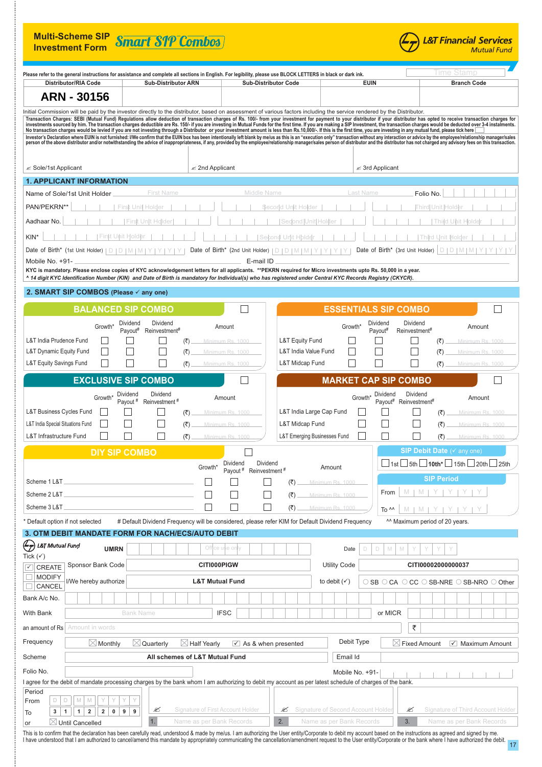| <b>Multi-Scheme SIP</b><br><b>Investment Form</b>                                                                                                                                         | <b>Smart SIP Combos</b>                                                                                                                                                                                                                                                                                                                                                                               |                                                                                 |                                                             | <b>L&amp;T Financial Services</b><br><b>Mutual Fund</b>                                                                                                                                                                                                                                                                                                                                                                                                                                                                                                                                                                                                                                           |  |
|-------------------------------------------------------------------------------------------------------------------------------------------------------------------------------------------|-------------------------------------------------------------------------------------------------------------------------------------------------------------------------------------------------------------------------------------------------------------------------------------------------------------------------------------------------------------------------------------------------------|---------------------------------------------------------------------------------|-------------------------------------------------------------|---------------------------------------------------------------------------------------------------------------------------------------------------------------------------------------------------------------------------------------------------------------------------------------------------------------------------------------------------------------------------------------------------------------------------------------------------------------------------------------------------------------------------------------------------------------------------------------------------------------------------------------------------------------------------------------------------|--|
|                                                                                                                                                                                           | Please refer to the general instructions for assistance and complete all sections in English. For legibility, please use BLOCK LETTERS in black or dark ink.                                                                                                                                                                                                                                          |                                                                                 |                                                             | lime Stamb                                                                                                                                                                                                                                                                                                                                                                                                                                                                                                                                                                                                                                                                                        |  |
| <b>Distributor/RIA Code</b>                                                                                                                                                               | <b>Sub-Distributor ARN</b>                                                                                                                                                                                                                                                                                                                                                                            | <b>Sub-Distributor Code</b>                                                     | <b>EUIN</b>                                                 | <b>Branch Code</b>                                                                                                                                                                                                                                                                                                                                                                                                                                                                                                                                                                                                                                                                                |  |
| <b>ARN - 30156</b>                                                                                                                                                                        |                                                                                                                                                                                                                                                                                                                                                                                                       |                                                                                 |                                                             |                                                                                                                                                                                                                                                                                                                                                                                                                                                                                                                                                                                                                                                                                                   |  |
|                                                                                                                                                                                           | Initial Commission will be paid by the investor directly to the distributor, based on assessment of various factors including the service rendered by the Distributor.<br>No transaction charges would be levied if you are not investing through a Distributor or your investment amount is less than Rs.10,000/-. If this is the first time, you are investing in any mutual fund, please tick here |                                                                                 |                                                             | Transaction Charges: SEBI (Mutual Fund) Regulations allow deduction of transaction charges of Rs. 100/- from your investment for payment to your distributor if your distributor has opted to receive transaction charges for<br>Investor's Declaration where EUIN is not furnished: I/We confirm that the EUIN box has been intentionally left blank by me/us as this is an "execution only" transaction without any interaction or advice by the employee/rel<br>person of the above distributor and/or notwithstanding the advice of inappropriateness, if any, provided by the employee/relationship manager/sales person of distributor and the distributor has not charged any advisory fee |  |
|                                                                                                                                                                                           | $\mathscr{\mathscr{E}}$ 2nd Applicant                                                                                                                                                                                                                                                                                                                                                                 |                                                                                 | $\mathscr{\mathscr{E}}$ 3rd Applicant                       |                                                                                                                                                                                                                                                                                                                                                                                                                                                                                                                                                                                                                                                                                                   |  |
| <b>1. APPLICANT INFORMATION</b>                                                                                                                                                           |                                                                                                                                                                                                                                                                                                                                                                                                       |                                                                                 |                                                             |                                                                                                                                                                                                                                                                                                                                                                                                                                                                                                                                                                                                                                                                                                   |  |
| Name of Sole/1st Unit Holder                                                                                                                                                              | <b>First Name</b>                                                                                                                                                                                                                                                                                                                                                                                     | Middle Name                                                                     | <b>Last Name</b>                                            | Folio No.                                                                                                                                                                                                                                                                                                                                                                                                                                                                                                                                                                                                                                                                                         |  |
| PAN/PEKRN**                                                                                                                                                                               | First Unit Holder                                                                                                                                                                                                                                                                                                                                                                                     | Second Unlit Holder                                                             |                                                             | ∏ hirdl Unit Holde                                                                                                                                                                                                                                                                                                                                                                                                                                                                                                                                                                                                                                                                                |  |
| Aadhaar No.                                                                                                                                                                               | First<br>Unit Holder                                                                                                                                                                                                                                                                                                                                                                                  | Sedond Unit Holder                                                              |                                                             | <b>Third Unit</b>                                                                                                                                                                                                                                                                                                                                                                                                                                                                                                                                                                                                                                                                                 |  |
| First Unit Holder<br>KIN <sup>*</sup>                                                                                                                                                     |                                                                                                                                                                                                                                                                                                                                                                                                       | Second Unit Hblder                                                              |                                                             | Third Unit Holder                                                                                                                                                                                                                                                                                                                                                                                                                                                                                                                                                                                                                                                                                 |  |
| Date of Birth* (1st Unit Holder)                                                                                                                                                          | $\begin{array}{c c c c c c} \hline & D & D & D & M & M \end{array}$                                                                                                                                                                                                                                                                                                                                   | Date of Birth* (2nd Unit Holder)<br>D.<br>$\Box$                                | Date of Birth* (3rd Unit Holder)                            | D<br>DIM                                                                                                                                                                                                                                                                                                                                                                                                                                                                                                                                                                                                                                                                                          |  |
| Mobile No. +91-                                                                                                                                                                           | KYC is mandatory. Please enclose copies of KYC acknowledgement letters for all applicants. **PEKRN required for Micro investments upto Rs. 50,000 in a year.<br>^ 14 digit KYC Identification Number (KIN) and Date of Birth is mandatory for Individual(s) who has registered under Central KYC Records Registry (CKYCR).                                                                            | E-mail ID                                                                       |                                                             |                                                                                                                                                                                                                                                                                                                                                                                                                                                                                                                                                                                                                                                                                                   |  |
| 2. SMART SIP COMBOS (Please ✓ any one)                                                                                                                                                    |                                                                                                                                                                                                                                                                                                                                                                                                       |                                                                                 |                                                             |                                                                                                                                                                                                                                                                                                                                                                                                                                                                                                                                                                                                                                                                                                   |  |
|                                                                                                                                                                                           | <b>BALANCED SIP COMBO</b>                                                                                                                                                                                                                                                                                                                                                                             |                                                                                 | <b>ESSENTIALS SIP COMBO</b>                                 |                                                                                                                                                                                                                                                                                                                                                                                                                                                                                                                                                                                                                                                                                                   |  |
|                                                                                                                                                                                           | Dividend<br>Dividend                                                                                                                                                                                                                                                                                                                                                                                  |                                                                                 | Dividend<br>Dividend                                        |                                                                                                                                                                                                                                                                                                                                                                                                                                                                                                                                                                                                                                                                                                   |  |
| Growth*                                                                                                                                                                                   | Payout#<br>Reinvestment#                                                                                                                                                                                                                                                                                                                                                                              | Amount                                                                          | Growth <sup>*</sup><br>Payout#<br>Reinvestment <sup>#</sup> | Amount                                                                                                                                                                                                                                                                                                                                                                                                                                                                                                                                                                                                                                                                                            |  |
| L&T India Prudence Fund                                                                                                                                                                   | (₹)                                                                                                                                                                                                                                                                                                                                                                                                   | L&T Equity Fund<br>Minimum Rs. 1000                                             |                                                             | (₹)<br>Minimum Rs. 1000                                                                                                                                                                                                                                                                                                                                                                                                                                                                                                                                                                                                                                                                           |  |
| L&T Dynamic Equity Fund<br><b>L&amp;T Equity Savings Fund</b>                                                                                                                             | (₹)<br>(₹)                                                                                                                                                                                                                                                                                                                                                                                            | L&T India Value Fund<br>Minimum Rs. 1000<br>L&T Midcap Fund<br>Minimum Rs. 1000 |                                                             | (₹)<br>Minimum Rs. 1000<br>(₹)<br>Minimum Rs. 1000                                                                                                                                                                                                                                                                                                                                                                                                                                                                                                                                                                                                                                                |  |
|                                                                                                                                                                                           |                                                                                                                                                                                                                                                                                                                                                                                                       |                                                                                 |                                                             |                                                                                                                                                                                                                                                                                                                                                                                                                                                                                                                                                                                                                                                                                                   |  |
|                                                                                                                                                                                           | <b>EXCLUSIVE SIP COMBO</b>                                                                                                                                                                                                                                                                                                                                                                            |                                                                                 | <b>MARKET CAP SIP COMBO</b>                                 |                                                                                                                                                                                                                                                                                                                                                                                                                                                                                                                                                                                                                                                                                                   |  |
| Growth*                                                                                                                                                                                   | Dividend<br>Dividend<br>Payout #<br>Reinvestment <sup>#</sup>                                                                                                                                                                                                                                                                                                                                         | Amount                                                                          | Dividend<br>Growth*<br>Payout#                              | Dividend<br>Amount<br>Reinvestment#                                                                                                                                                                                                                                                                                                                                                                                                                                                                                                                                                                                                                                                               |  |
| L&T Business Cycles Fund                                                                                                                                                                  | (₹)                                                                                                                                                                                                                                                                                                                                                                                                   | L&T India Large Cap Fund<br>Minimum Rs. 1000                                    |                                                             | (₹<br>Minimum Rs. 1000                                                                                                                                                                                                                                                                                                                                                                                                                                                                                                                                                                                                                                                                            |  |
| L&T India Special Situations Fund                                                                                                                                                         | (₹)                                                                                                                                                                                                                                                                                                                                                                                                   | L&T Midcap Fund<br>Minimum Rs. 1000                                             |                                                             | (₹)<br>Minimum Rs. 1000                                                                                                                                                                                                                                                                                                                                                                                                                                                                                                                                                                                                                                                                           |  |
| L&T Infrastructure Fund                                                                                                                                                                   | (₹)                                                                                                                                                                                                                                                                                                                                                                                                   | <b>L&amp;T Emerging Businesses Fund</b><br>Minimum Rs. 1000                     |                                                             | (₹)<br>Minimum Rs. 1000                                                                                                                                                                                                                                                                                                                                                                                                                                                                                                                                                                                                                                                                           |  |
| <b>SIP Debit Date</b> ( $\checkmark$ any one)<br><b>DIY SIP COMBO</b>                                                                                                                     |                                                                                                                                                                                                                                                                                                                                                                                                       |                                                                                 |                                                             |                                                                                                                                                                                                                                                                                                                                                                                                                                                                                                                                                                                                                                                                                                   |  |
|                                                                                                                                                                                           | Growth*                                                                                                                                                                                                                                                                                                                                                                                               | Dividend<br>Dividend<br>Payout <sup>#</sup><br>Reinvestment <sup>#</sup>        | Amount                                                      | $\Box$ 1st $\Box$ 5th $\Box$ 10th* $\Box$ 15th $\Box$ 20th $\Box$ 25th                                                                                                                                                                                                                                                                                                                                                                                                                                                                                                                                                                                                                            |  |
| Scheme 1 L&T                                                                                                                                                                              |                                                                                                                                                                                                                                                                                                                                                                                                       | (₹)                                                                             | Minimum Rs. 1000                                            | <b>SIP Period</b>                                                                                                                                                                                                                                                                                                                                                                                                                                                                                                                                                                                                                                                                                 |  |
| Scheme 2 L&T                                                                                                                                                                              |                                                                                                                                                                                                                                                                                                                                                                                                       | $(\overline{\mathbf{x}})$                                                       | From<br>Minimum Rs. 1000                                    | $M$   $M$   $Y$   $Y$   $Y$                                                                                                                                                                                                                                                                                                                                                                                                                                                                                                                                                                                                                                                                       |  |
| Scheme 3 L&T.                                                                                                                                                                             |                                                                                                                                                                                                                                                                                                                                                                                                       | (₹)                                                                             | Minimum Rs. 1000<br>To ^^                                   | M I                                                                                                                                                                                                                                                                                                                                                                                                                                                                                                                                                                                                                                                                                               |  |
| # Default Dividend Frequency will be considered, please refer KIM for Default Dividend Frequency<br>* Default option if not selected<br>^^ Maximum period of 20 years.                    |                                                                                                                                                                                                                                                                                                                                                                                                       |                                                                                 |                                                             |                                                                                                                                                                                                                                                                                                                                                                                                                                                                                                                                                                                                                                                                                                   |  |
|                                                                                                                                                                                           | 3. OTM DEBIT MANDATE FORM FOR NACH/ECS/AUTO DEBIT                                                                                                                                                                                                                                                                                                                                                     |                                                                                 |                                                             |                                                                                                                                                                                                                                                                                                                                                                                                                                                                                                                                                                                                                                                                                                   |  |
| <b>L&amp;T Mutual Fund</b><br>$\H\tau$<br><b>UMRN</b><br>Tick $(\checkmark)$                                                                                                              |                                                                                                                                                                                                                                                                                                                                                                                                       | Office use only                                                                 | M<br>Date<br>$\Box$<br>M<br>D                               |                                                                                                                                                                                                                                                                                                                                                                                                                                                                                                                                                                                                                                                                                                   |  |
| Sponsor Bank Code<br>$\sqrt{2}$ CREATE<br><b>MODIFY</b>                                                                                                                                   | <b>CITI000PIGW</b>                                                                                                                                                                                                                                                                                                                                                                                    |                                                                                 | <b>Utility Code</b>                                         | CITI00002000000037                                                                                                                                                                                                                                                                                                                                                                                                                                                                                                                                                                                                                                                                                |  |
| I/We hereby authorize<br>CANCEL                                                                                                                                                           | <b>L&amp;T Mutual Fund</b>                                                                                                                                                                                                                                                                                                                                                                            |                                                                                 | to debit $(\checkmark)$                                     | $\circ$ SB $\circ$ CA $\circ$ CC $\circ$ SB-NRE $\circ$ SB-NRO $\circ$ Other                                                                                                                                                                                                                                                                                                                                                                                                                                                                                                                                                                                                                      |  |
| Bank A/c No.                                                                                                                                                                              |                                                                                                                                                                                                                                                                                                                                                                                                       |                                                                                 |                                                             |                                                                                                                                                                                                                                                                                                                                                                                                                                                                                                                                                                                                                                                                                                   |  |
| With Bank                                                                                                                                                                                 | <b>Bank Name</b>                                                                                                                                                                                                                                                                                                                                                                                      | <b>IFSC</b>                                                                     | or MICR                                                     |                                                                                                                                                                                                                                                                                                                                                                                                                                                                                                                                                                                                                                                                                                   |  |
| ₹<br>Amount in words<br>an amount of Rs                                                                                                                                                   |                                                                                                                                                                                                                                                                                                                                                                                                       |                                                                                 |                                                             |                                                                                                                                                                                                                                                                                                                                                                                                                                                                                                                                                                                                                                                                                                   |  |
| Frequency<br>Debit Type<br>$\boxtimes$ Quarterly<br>$\boxtimes$ Half Yearly<br>$\sqrt{ }$ Maximum Amount<br>$\boxtimes$ Monthly<br>$\vee$ As & when presented<br>$\boxtimes$ Fixed Amount |                                                                                                                                                                                                                                                                                                                                                                                                       |                                                                                 |                                                             |                                                                                                                                                                                                                                                                                                                                                                                                                                                                                                                                                                                                                                                                                                   |  |
| All schemes of L&T Mutual Fund<br>Email Id<br>Scheme                                                                                                                                      |                                                                                                                                                                                                                                                                                                                                                                                                       |                                                                                 |                                                             |                                                                                                                                                                                                                                                                                                                                                                                                                                                                                                                                                                                                                                                                                                   |  |
| Folio No.<br>Mobile No. +91-                                                                                                                                                              |                                                                                                                                                                                                                                                                                                                                                                                                       |                                                                                 |                                                             |                                                                                                                                                                                                                                                                                                                                                                                                                                                                                                                                                                                                                                                                                                   |  |
| I agree for the debit of mandate processing charges by the bank whom I am authorizing to debit my account as per latest schedule of charges of the bank.                                  |                                                                                                                                                                                                                                                                                                                                                                                                       |                                                                                 |                                                             |                                                                                                                                                                                                                                                                                                                                                                                                                                                                                                                                                                                                                                                                                                   |  |
| Period<br>D<br>$\Box$<br>$\mathbb M$<br>M<br>From<br>$\mathbf 2$<br>$\mathbf{1}$<br>1<br>$\overline{2}$<br>$\pmb{0}$<br>3<br>To                                                           | Y<br>Y<br>Signature of First Account Holder<br>Ø<br>9<br>9                                                                                                                                                                                                                                                                                                                                            | ≤                                                                               | Signature of Second Account Holder<br>≤                     | <b>Signature of Third Account Holder</b>                                                                                                                                                                                                                                                                                                                                                                                                                                                                                                                                                                                                                                                          |  |
| $\boxtimes$ Until Cancelled<br>or                                                                                                                                                         | 1.<br>Name as per Bank Records                                                                                                                                                                                                                                                                                                                                                                        | 2.                                                                              | 3.<br>Name as per Bank Records                              | Name as per Bank Records                                                                                                                                                                                                                                                                                                                                                                                                                                                                                                                                                                                                                                                                          |  |

This is to confirm that the declaration has been caretully read, understood & made by me/us. I am authorizing the User entity/Corporate to debit my account based on the instructions as agreed and signed by me.<br>I have under

ł